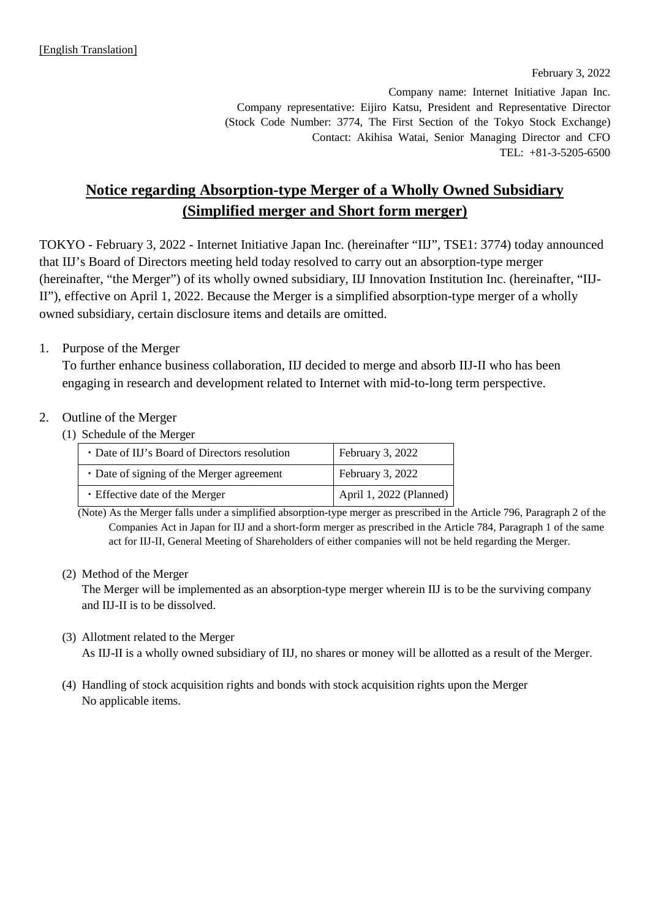February 3, 2022

Company name: Internet Initiative Japan Inc. Company representative: Eijiro Katsu, President and Representative Director (Stock Code Number: 3774, The First Section of the Tokyo Stock Exchange) Contact: Akihisa Watai, Senior Managing Director and CFO TEL: +81-3-5205-6500

# **Notice regarding Absorption-type Merger of a Wholly Owned Subsidiary (Simplified merger and Short form merger)**

TOKYO - February 3, 2022 - Internet Initiative Japan Inc. (hereinafter "IIJ", TSE1: 3774) today announced that IIJ's Board of Directors meeting held today resolved to carry out an absorption-type merger (hereinafter, "the Merger") of its wholly owned subsidiary, IIJ Innovation Institution Inc. (hereinafter, "IIJ-II"), effective on April 1, 2022. Because the Merger is a simplified absorption-type merger of a wholly owned subsidiary, certain disclosure items and details are omitted.

# 1. Purpose of the Merger

To further enhance business collaboration, IIJ decided to merge and absorb IIJ-II who has been engaging in research and development related to Internet with mid-to-long term perspective.

# 2. Outline of the Merger

(1) Schedule of the Merger

| • Date of IIJ's Board of Directors resolution | February 3, 2022        |
|-----------------------------------------------|-------------------------|
| • Date of signing of the Merger agreement     | February 3, 2022        |
| • Effective date of the Merger                | April 1, 2022 (Planned) |

(Note) As the Merger falls under a simplified absorption-type merger as prescribed in the Article 796, Paragraph 2 of the Companies Act in Japan for IIJ and a short-form merger as prescribed in the Article 784, Paragraph 1 of the same act for IIJ-II, General Meeting of Shareholders of either companies will not be held regarding the Merger.

# (2) Method of the Merger

The Merger will be implemented as an absorption-type merger wherein IIJ is to be the surviving company and IIJ-II is to be dissolved.

### (3) Allotment related to the Merger

As IIJ-II is a wholly owned subsidiary of IIJ, no shares or money will be allotted as a result of the Merger.

(4) Handling of stock acquisition rights and bonds with stock acquisition rights upon the Merger No applicable items.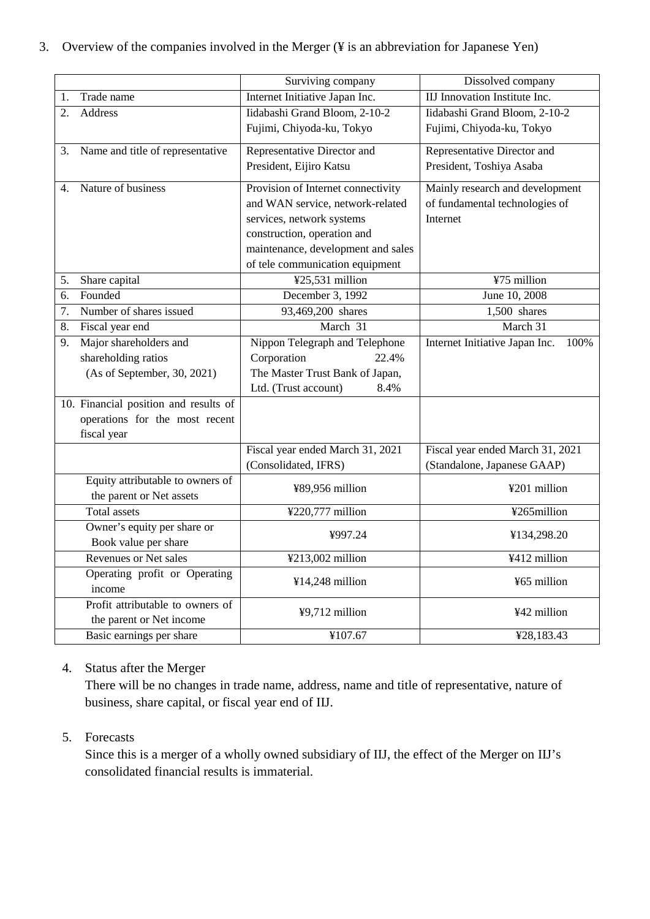|  | 3. Overview of the companies involved in the Merger (¥ is an abbreviation for Japanese Yen) |  |  |  |  |  |
|--|---------------------------------------------------------------------------------------------|--|--|--|--|--|
|--|---------------------------------------------------------------------------------------------|--|--|--|--|--|

|    |                                           | Surviving company                  | Dissolved company                      |  |
|----|-------------------------------------------|------------------------------------|----------------------------------------|--|
| 1. | Trade name                                | Internet Initiative Japan Inc.     | IIJ Innovation Institute Inc.          |  |
| 2. | Address                                   | Iidabashi Grand Bloom, 2-10-2      | Iidabashi Grand Bloom, 2-10-2          |  |
|    |                                           | Fujimi, Chiyoda-ku, Tokyo          | Fujimi, Chiyoda-ku, Tokyo              |  |
| 3. | Name and title of representative          | Representative Director and        | Representative Director and            |  |
|    |                                           | President, Eijiro Katsu            | President, Toshiya Asaba               |  |
| 4. | Nature of business                        | Provision of Internet connectivity | Mainly research and development        |  |
|    |                                           | and WAN service, network-related   | of fundamental technologies of         |  |
|    |                                           | services, network systems          | Internet                               |  |
|    |                                           | construction, operation and        |                                        |  |
|    |                                           | maintenance, development and sales |                                        |  |
|    |                                           | of tele communication equipment    |                                        |  |
| 5. | Share capital                             | ¥25,531 million                    | ¥75 million                            |  |
| 6. | Founded                                   | December 3, 1992                   | June 10, 2008                          |  |
| 7. | Number of shares issued                   | 93,469,200 shares                  | 1,500 shares                           |  |
| 8. | Fiscal year end                           | March 31                           | March 31                               |  |
| 9. | Major shareholders and                    | Nippon Telegraph and Telephone     | Internet Initiative Japan Inc.<br>100% |  |
|    | shareholding ratios                       | Corporation<br>22.4%               |                                        |  |
|    | (As of September, 30, 2021)               | The Master Trust Bank of Japan,    |                                        |  |
|    |                                           | Ltd. (Trust account)<br>8.4%       |                                        |  |
|    | 10. Financial position and results of     |                                    |                                        |  |
|    | operations for the most recent            |                                    |                                        |  |
|    | fiscal year                               |                                    |                                        |  |
|    |                                           | Fiscal year ended March 31, 2021   | Fiscal year ended March 31, 2021       |  |
|    |                                           | (Consolidated, IFRS)               | (Standalone, Japanese GAAP)            |  |
|    | Equity attributable to owners of          |                                    |                                        |  |
|    | the parent or Net assets                  | ¥89,956 million                    | ¥201 million                           |  |
|    | <b>Total assets</b>                       | ¥220,777 million                   | ¥265million                            |  |
|    | Owner's equity per share or               | ¥997.24                            | ¥134,298.20                            |  |
|    | Book value per share                      |                                    |                                        |  |
|    | ¥213,002 million<br>Revenues or Net sales |                                    | ¥412 million                           |  |
|    | Operating profit or Operating             | ¥14,248 million                    | ¥65 million                            |  |
|    | income                                    |                                    |                                        |  |
|    | Profit attributable to owners of          | ¥9,712 million                     | ¥42 million                            |  |
|    | the parent or Net income                  |                                    |                                        |  |
|    | Basic earnings per share                  | ¥107.67                            | ¥28,183.43                             |  |

# 4. Status after the Merger

There will be no changes in trade name, address, name and title of representative, nature of business, share capital, or fiscal year end of IIJ.

# 5. Forecasts

Since this is a merger of a wholly owned subsidiary of IIJ, the effect of the Merger on IIJ's consolidated financial results is immaterial.